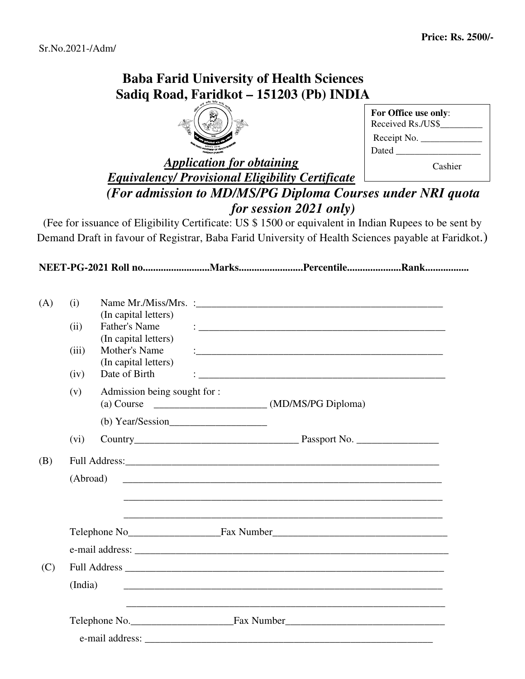## **Baba Farid University of Health Sciences Sadiq Road, Faridkot – 151203 (Pb) INDIA**



| For Office use only:<br>Received Rs./US\$ |
|-------------------------------------------|
| Receipt No.                               |
| Dated                                     |
| Cashier                                   |

## *Application for obtaining Equivalency/ Provisional Eligibility Certificate (For admission to MD/MS/PG Diploma Courses under NRI quota for session 2021 only)*

(Fee for issuance of Eligibility Certificate: US \$ 1500 or equivalent in Indian Rupees to be sent by Demand Draft in favour of Registrar, Baba Farid University of Health Sciences payable at Faridkot.)

**NEET-PG-2021 Roll no..........................Marks.........................Percentile.....................Rank.................** 

| (A) | (i)      |                                       |                                                                                                                       |
|-----|----------|---------------------------------------|-----------------------------------------------------------------------------------------------------------------------|
|     | (ii)     | (In capital letters)<br>Father's Name |                                                                                                                       |
|     |          | (In capital letters)<br>Mother's Name |                                                                                                                       |
|     | (iii)    | (In capital letters)                  |                                                                                                                       |
|     | (iv)     | Date of Birth                         |                                                                                                                       |
|     | (v)      | Admission being sought for :          |                                                                                                                       |
|     |          |                                       |                                                                                                                       |
|     | (vi)     |                                       |                                                                                                                       |
| (B) |          |                                       |                                                                                                                       |
|     | (Abroad) |                                       |                                                                                                                       |
|     |          |                                       |                                                                                                                       |
|     |          |                                       |                                                                                                                       |
|     |          |                                       |                                                                                                                       |
| (C) |          |                                       |                                                                                                                       |
|     | (India)  |                                       |                                                                                                                       |
|     |          |                                       | <u> 1989 - Johann Harry Harry Harry Harry Harry Harry Harry Harry Harry Harry Harry Harry Harry Harry Harry Harry</u> |
|     |          |                                       |                                                                                                                       |
|     |          |                                       |                                                                                                                       |
|     |          |                                       |                                                                                                                       |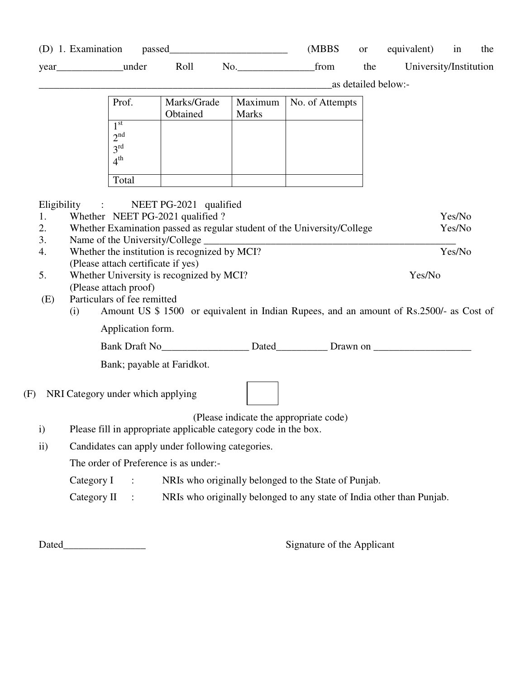(D) 1. Examination passed\_\_\_\_\_\_\_\_\_\_\_\_\_\_\_\_\_\_\_\_\_\_\_ (MBBS or equivalent) in the

year\_\_\_\_\_\_\_\_\_\_\_\_\_\_\_under Roll No.\_\_\_\_\_\_\_\_\_\_\_\_\_\_\_\_\_\_\_\_\_\_\_\_\_\_\_\_\_\_\_\_\_\_trom the University/Institution

\_as detailed below:-

| Prof.                                                         | Marks/Grade<br>Obtained | Maximum<br><b>Marks</b> | No. of Attempts |
|---------------------------------------------------------------|-------------------------|-------------------------|-----------------|
| 1 st<br>2 <sup>nd</sup><br>3 <sup>rd</sup><br>4 <sup>th</sup> |                         |                         |                 |
| Total                                                         |                         |                         |                 |

Eligibility : NEET PG-2021 qualified

| 1.  | Whether NEET PG-2021 qualified ?                                                                             | Yes/No |
|-----|--------------------------------------------------------------------------------------------------------------|--------|
| 2.  | Whether Examination passed as regular student of the University/College                                      | Yes/No |
| 3.  | Name of the University/College                                                                               |        |
| 4.  | Whether the institution is recognized by MCI?                                                                | Yes/No |
|     | (Please attach certificate if yes)                                                                           |        |
| 5.  | Whether University is recognized by MCI?                                                                     | Yes/No |
|     | (Please attach proof)                                                                                        |        |
| (E) | Particulars of fee remitted                                                                                  |        |
|     | Amount US \$ 1500 or equivalent in Indian Rupees, and an amount of Rs.2500/- as Cost of<br>$\left( 1\right)$ |        |

Application form.

| <b>Bank Draft No</b> | Jatec | Jrawn on |
|----------------------|-------|----------|
|----------------------|-------|----------|

Bank; payable at Faridkot.

## (F) NRI Category under which applying

(Please indicate the appropriate code)

- i) Please fill in appropriate applicable category code in the box.
- ii) Candidates can apply under following categories.

The order of Preference is as under:-

- Category I : NRIs who originally belonged to the State of Punjab.
- Category II : NRIs who originally belonged to any state of India other than Punjab.

Dated\_\_\_\_\_\_\_\_\_\_\_\_\_\_\_\_ Signature of the Applicant